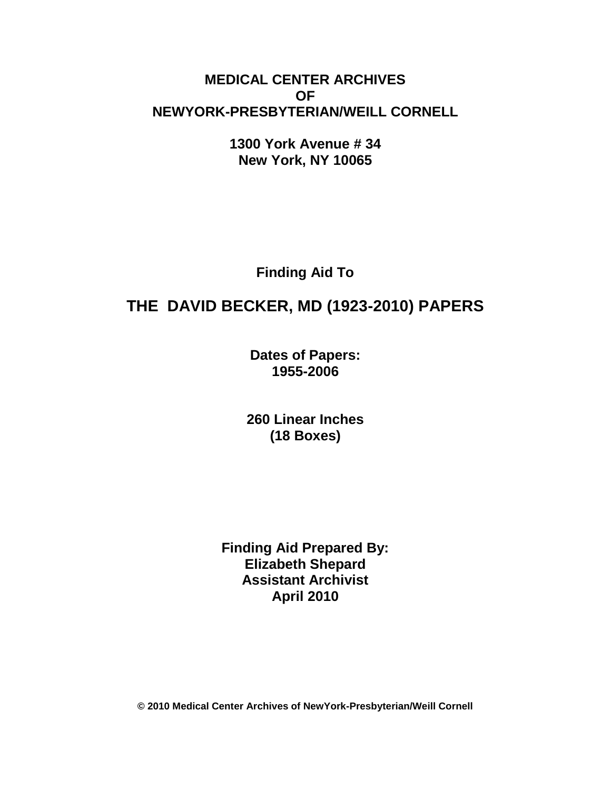## **MEDICAL CENTER ARCHIVES OF NEWYORK-PRESBYTERIAN/WEILL CORNELL**

**1300 York Avenue # 34 New York, NY 10065**

**Finding Aid To**

# **THE DAVID BECKER, MD (1923-2010) PAPERS**

**Dates of Papers: 1955-2006**

**260 Linear Inches (18 Boxes)**

**Finding Aid Prepared By: Elizabeth Shepard Assistant Archivist April 2010**

**© 2010 Medical Center Archives of NewYork-Presbyterian/Weill Cornell**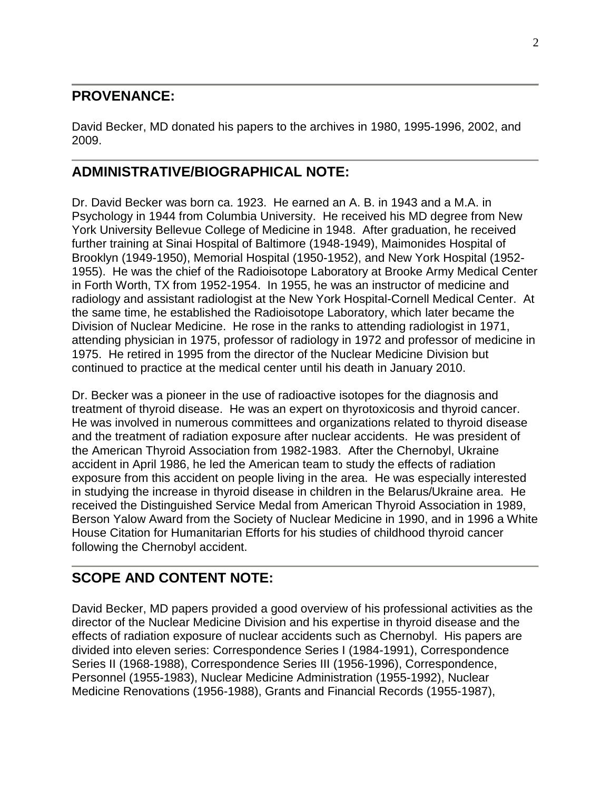### **PROVENANCE:**

David Becker, MD donated his papers to the archives in 1980, 1995-1996, 2002, and 2009.

## **ADMINISTRATIVE/BIOGRAPHICAL NOTE:**

Dr. David Becker was born ca. 1923. He earned an A. B. in 1943 and a M.A. in Psychology in 1944 from Columbia University. He received his MD degree from New York University Bellevue College of Medicine in 1948. After graduation, he received further training at Sinai Hospital of Baltimore (1948-1949), Maimonides Hospital of Brooklyn (1949-1950), Memorial Hospital (1950-1952), and New York Hospital (1952- 1955). He was the chief of the Radioisotope Laboratory at Brooke Army Medical Center in Forth Worth, TX from 1952-1954. In 1955, he was an instructor of medicine and radiology and assistant radiologist at the New York Hospital-Cornell Medical Center. At the same time, he established the Radioisotope Laboratory, which later became the Division of Nuclear Medicine. He rose in the ranks to attending radiologist in 1971, attending physician in 1975, professor of radiology in 1972 and professor of medicine in 1975. He retired in 1995 from the director of the Nuclear Medicine Division but continued to practice at the medical center until his death in January 2010.

Dr. Becker was a pioneer in the use of radioactive isotopes for the diagnosis and treatment of thyroid disease. He was an expert on thyrotoxicosis and thyroid cancer. He was involved in numerous committees and organizations related to thyroid disease and the treatment of radiation exposure after nuclear accidents. He was president of the American Thyroid Association from 1982-1983. After the Chernobyl, Ukraine accident in April 1986, he led the American team to study the effects of radiation exposure from this accident on people living in the area. He was especially interested in studying the increase in thyroid disease in children in the Belarus/Ukraine area. He received the Distinguished Service Medal from American Thyroid Association in 1989, Berson Yalow Award from the Society of Nuclear Medicine in 1990, and in 1996 a White House Citation for Humanitarian Efforts for his studies of childhood thyroid cancer following the Chernobyl accident.

## **SCOPE AND CONTENT NOTE:**

David Becker, MD papers provided a good overview of his professional activities as the director of the Nuclear Medicine Division and his expertise in thyroid disease and the effects of radiation exposure of nuclear accidents such as Chernobyl. His papers are divided into eleven series: Correspondence Series I (1984-1991), Correspondence Series II (1968-1988), Correspondence Series III (1956-1996), Correspondence, Personnel (1955-1983), Nuclear Medicine Administration (1955-1992), Nuclear Medicine Renovations (1956-1988), Grants and Financial Records (1955-1987),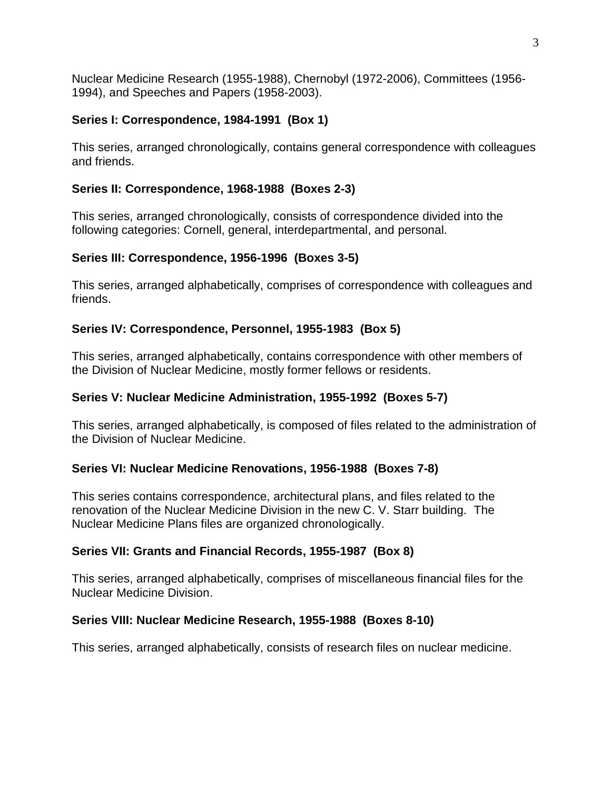Nuclear Medicine Research (1955-1988), Chernobyl (1972-2006), Committees (1956- 1994), and Speeches and Papers (1958-2003).

### **Series I: Correspondence, 1984-1991 (Box 1)**

This series, arranged chronologically, contains general correspondence with colleagues and friends.

### **Series II: Correspondence, 1968-1988 (Boxes 2-3)**

This series, arranged chronologically, consists of correspondence divided into the following categories: Cornell, general, interdepartmental, and personal.

### **Series III: Correspondence, 1956-1996 (Boxes 3-5)**

This series, arranged alphabetically, comprises of correspondence with colleagues and friends.

### **Series IV: Correspondence, Personnel, 1955-1983 (Box 5)**

This series, arranged alphabetically, contains correspondence with other members of the Division of Nuclear Medicine, mostly former fellows or residents.

### **Series V: Nuclear Medicine Administration, 1955-1992 (Boxes 5-7)**

This series, arranged alphabetically, is composed of files related to the administration of the Division of Nuclear Medicine.

### **Series VI: Nuclear Medicine Renovations, 1956-1988 (Boxes 7-8)**

This series contains correspondence, architectural plans, and files related to the renovation of the Nuclear Medicine Division in the new C. V. Starr building. The Nuclear Medicine Plans files are organized chronologically.

### **Series VII: Grants and Financial Records, 1955-1987 (Box 8)**

This series, arranged alphabetically, comprises of miscellaneous financial files for the Nuclear Medicine Division.

### **Series VIII: Nuclear Medicine Research, 1955-1988 (Boxes 8-10)**

This series, arranged alphabetically, consists of research files on nuclear medicine.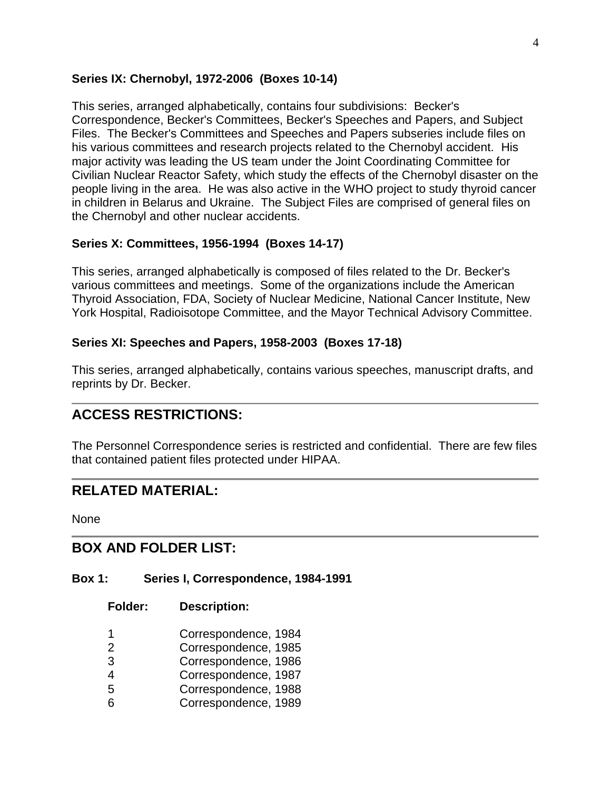#### **Series IX: Chernobyl, 1972-2006 (Boxes 10-14)**

This series, arranged alphabetically, contains four subdivisions: Becker's Correspondence, Becker's Committees, Becker's Speeches and Papers, and Subject Files. The Becker's Committees and Speeches and Papers subseries include files on his various committees and research projects related to the Chernobyl accident. His major activity was leading the US team under the Joint Coordinating Committee for Civilian Nuclear Reactor Safety, which study the effects of the Chernobyl disaster on the people living in the area. He was also active in the WHO project to study thyroid cancer in children in Belarus and Ukraine. The Subject Files are comprised of general files on the Chernobyl and other nuclear accidents.

### **Series X: Committees, 1956-1994 (Boxes 14-17)**

This series, arranged alphabetically is composed of files related to the Dr. Becker's various committees and meetings. Some of the organizations include the American Thyroid Association, FDA, Society of Nuclear Medicine, National Cancer Institute, New York Hospital, Radioisotope Committee, and the Mayor Technical Advisory Committee.

#### **Series XI: Speeches and Papers, 1958-2003 (Boxes 17-18)**

This series, arranged alphabetically, contains various speeches, manuscript drafts, and reprints by Dr. Becker.

## **ACCESS RESTRICTIONS:**

The Personnel Correspondence series is restricted and confidential. There are few files that contained patient files protected under HIPAA.

### **RELATED MATERIAL:**

None

### **BOX AND FOLDER LIST:**

#### **Box 1: Series I, Correspondence, 1984-1991**

- 1 Correspondence, 1984
- 2 Correspondence, 1985
- 3 Correspondence, 1986
- 4 Correspondence, 1987
- 5 Correspondence, 1988
- 6 Correspondence, 1989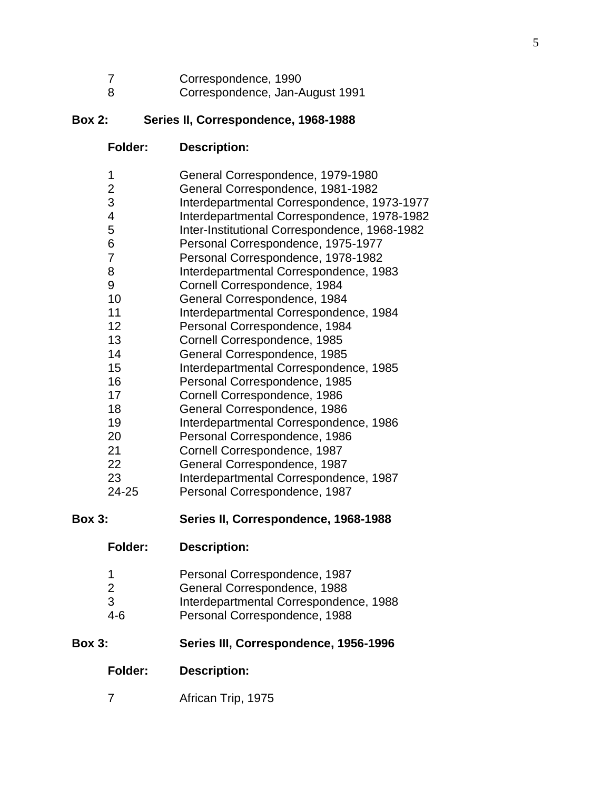| Correspondence, 1990 |  |  |
|----------------------|--|--|
|                      |  |  |

Correspondence, Jan-August 1991

### **Box 2: Series II, Correspondence, 1968-1988**

**Folder: Description:**

| 1              | General Correspondence, 1979-1980             |
|----------------|-----------------------------------------------|
| $\overline{2}$ | General Correspondence, 1981-1982             |
| 3              | Interdepartmental Correspondence, 1973-1977   |
| $\overline{4}$ | Interdepartmental Correspondence, 1978-1982   |
| 5              | Inter-Institutional Correspondence, 1968-1982 |
| 6              | Personal Correspondence, 1975-1977            |
| 7              | Personal Correspondence, 1978-1982            |
| 8              | Interdepartmental Correspondence, 1983        |
| 9              | Cornell Correspondence, 1984                  |
| 10             | General Correspondence, 1984                  |
| 11             | Interdepartmental Correspondence, 1984        |
| 12             | Personal Correspondence, 1984                 |
| 13             | Cornell Correspondence, 1985                  |
| 14             | General Correspondence, 1985                  |
| 15             | Interdepartmental Correspondence, 1985        |
| 16             | Personal Correspondence, 1985                 |
| 17             | Cornell Correspondence, 1986                  |
| 18             | General Correspondence, 1986                  |
| 19             | Interdepartmental Correspondence, 1986        |
| 20             | Personal Correspondence, 1986                 |
| 21             | Cornell Correspondence, 1987                  |
| 22             | General Correspondence, 1987                  |
| 23             | Interdepartmental Correspondence, 1987        |
| 24-25          | Personal Correspondence, 1987                 |
|                | Series II Cerrespondence 1068-1088            |

**Box 3: Series II, Correspondence, 1968-1988**

|  | Personal Correspondence, 1987 |
|--|-------------------------------|
|--|-------------------------------|

- General Correspondence, 1988
- 3 Interdepartmental Correspondence, 1988<br>4-6 Personal Correspondence, 1988
- Personal Correspondence, 1988

### **Box 3: Series III, Correspondence, 1956-1996**

- **Folder: Description:**
- African Trip, 1975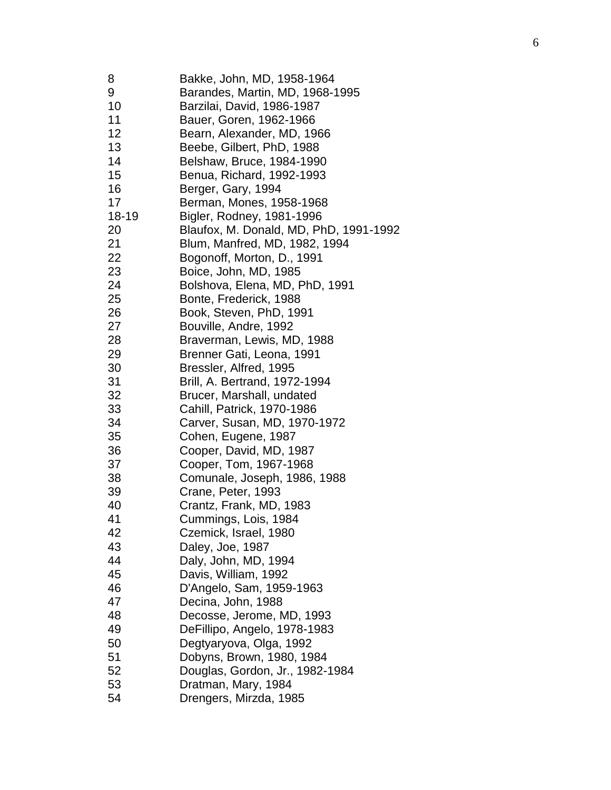| 8         | Bakke, John, MD, 1958-1964             |
|-----------|----------------------------------------|
| 9         | Barandes, Martin, MD, 1968-1995        |
| 10        | Barzilai, David, 1986-1987             |
| 11        | Bauer, Goren, 1962-1966                |
| 12        | Bearn, Alexander, MD, 1966             |
| 13        | Beebe, Gilbert, PhD, 1988              |
| 14        | Belshaw, Bruce, 1984-1990              |
| 15        | Benua, Richard, 1992-1993              |
| 16        | Berger, Gary, 1994                     |
| 17        | Berman, Mones, 1958-1968               |
| $18 - 19$ | Bigler, Rodney, 1981-1996              |
| 20        | Blaufox, M. Donald, MD, PhD, 1991-1992 |
| 21        | Blum, Manfred, MD, 1982, 1994          |
| 22        | Bogonoff, Morton, D., 1991             |
| 23        | Boice, John, MD, 1985                  |
| 24        | Bolshova, Elena, MD, PhD, 1991         |
| 25        | Bonte, Frederick, 1988                 |
| 26        | Book, Steven, PhD, 1991                |
|           |                                        |
| 27        | Bouville, Andre, 1992                  |
| 28        | Braverman, Lewis, MD, 1988             |
| 29        | Brenner Gati, Leona, 1991              |
| 30        | Bressler, Alfred, 1995                 |
| 31        | Brill, A. Bertrand, 1972-1994          |
| 32        | Brucer, Marshall, undated              |
| 33        | Cahill, Patrick, 1970-1986             |
| 34        | Carver, Susan, MD, 1970-1972           |
| 35        | Cohen, Eugene, 1987                    |
| 36        | Cooper, David, MD, 1987                |
| 37        | Cooper, Tom, 1967-1968                 |
| 38        | Comunale, Joseph, 1986, 1988           |
| 39        | Crane, Peter, 1993                     |
| 40        | Crantz, Frank, MD, 1983                |
| 41        | Cummings, Lois, 1984                   |
| 42        | Czemick, Israel, 1980                  |
| 43        | Daley, Joe, 1987                       |
| 44        | Daly, John, MD, 1994                   |
| 45        | Davis, William, 1992                   |
| 46        | D'Angelo, Sam, 1959-1963               |
| 47        | Decina, John, 1988                     |
| 48        | Decosse, Jerome, MD, 1993              |
| 49        | DeFillipo, Angelo, 1978-1983           |
| 50        | Degtyaryova, Olga, 1992                |
| 51        | Dobyns, Brown, 1980, 1984              |
| 52        | Douglas, Gordon, Jr., 1982-1984        |
| 53        |                                        |
|           | Dratman, Mary, 1984                    |
| 54        | Drengers, Mirzda, 1985                 |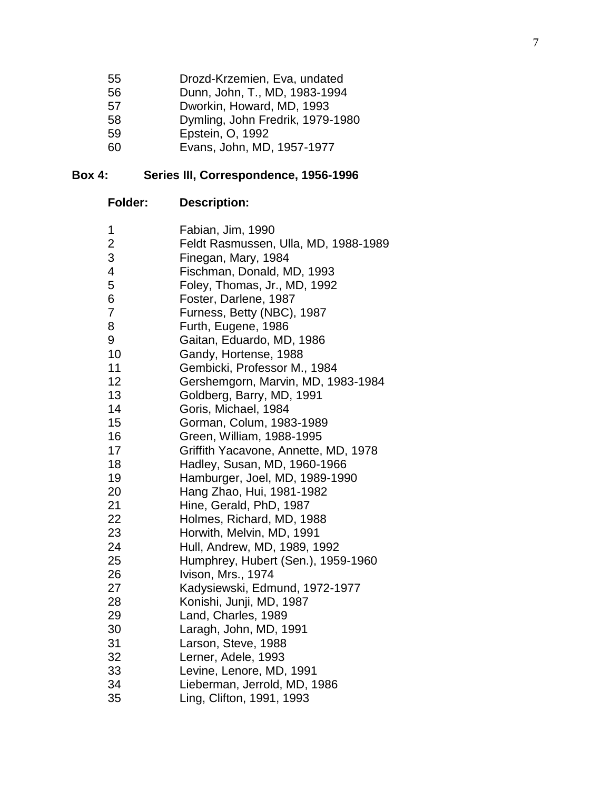| 55     | Drozd-Krzemien, Eva, undated       |
|--------|------------------------------------|
| 56     | Dunn, John, T., MD, 1983-1994      |
| 57     | Dworkin, Howard, MD, 1993          |
| 58     | Dymling, John Fredrik, 1979-1980   |
| 59     | Epstein, O, 1992                   |
| $\sim$ | $F_{\text{max}}$ , the MD 40574077 |

Evans, John, MD, 1957 -1977

#### **Box 4: Series III, Correspondence, 1956 -1996**

| <b>Folder:</b> | <b>Description:</b> |  |
|----------------|---------------------|--|
|----------------|---------------------|--|

| 1              | Fabian, Jim, 1990                    |
|----------------|--------------------------------------|
| $\mathbf{2}$   | Feldt Rasmussen, Ulla, MD, 1988-1989 |
| 3              | Finegan, Mary, 1984                  |
| $\overline{4}$ | Fischman, Donald, MD, 1993           |
| 5              | Foley, Thomas, Jr., MD, 1992         |
| 6              | Foster, Darlene, 1987                |
| 7              | Furness, Betty (NBC), 1987           |
| 8              | Furth, Eugene, 1986                  |
| 9              | Gaitan, Eduardo, MD, 1986            |
| 10             | Gandy, Hortense, 1988                |
| 11             | Gembicki, Professor M., 1984         |
| 12             | Gershemgorn, Marvin, MD, 1983-1984   |
| 13             | Goldberg, Barry, MD, 1991            |
| 14             | Goris, Michael, 1984                 |
| 15             | Gorman, Colum, 1983-1989             |
| 16             | Green, William, 1988-1995            |
| 17             | Griffith Yacavone, Annette, MD, 1978 |
| 18             | Hadley, Susan, MD, 1960-1966         |
| 19             | Hamburger, Joel, MD, 1989-1990       |
| 20             | Hang Zhao, Hui, 1981-1982            |
| 21             | Hine, Gerald, PhD, 1987              |
| 22             | Holmes, Richard, MD, 1988            |
| 23             | Horwith, Melvin, MD, 1991            |
| 24             | Hull, Andrew, MD, 1989, 1992         |
| 25             | Humphrey, Hubert (Sen.), 1959-1960   |
| 26             | Ivison, Mrs., 1974                   |
| 27             | Kadysiewski, Edmund, 1972-1977       |
| 28             | Konishi, Junji, MD, 1987             |
| 29             | Land, Charles, 1989                  |
| 30             | Laragh, John, MD, 1991               |
| 31             | Larson, Steve, 1988                  |
| 32             | Lerner, Adele, 1993                  |
| 33             | Levine, Lenore, MD, 1991             |
| 34             | Lieberman, Jerrold, MD, 1986         |
| 35             | Ling, Clifton, 1991, 1993            |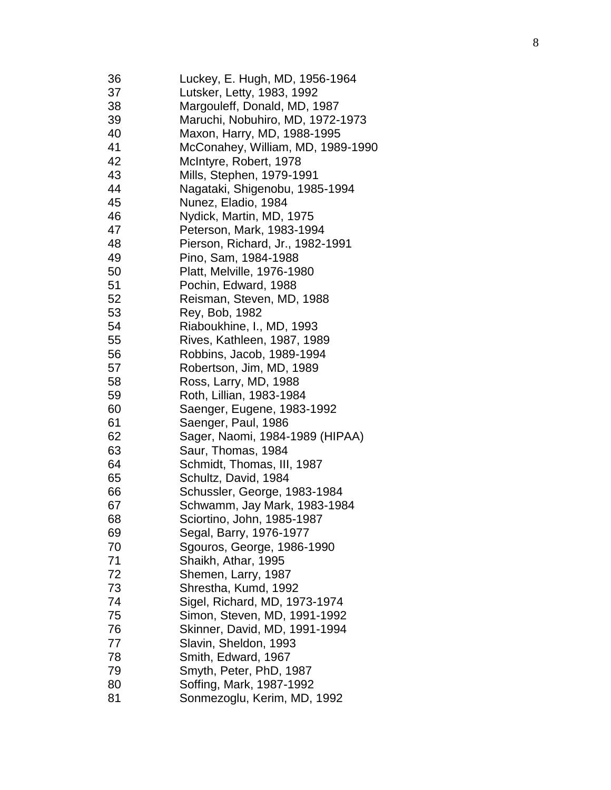| 36 | Luckey, E. Hugh, MD, 1956-1964    |
|----|-----------------------------------|
| 37 | Lutsker, Letty, 1983, 1992        |
| 38 | Margouleff, Donald, MD, 1987      |
| 39 | Maruchi, Nobuhiro, MD, 1972-1973  |
| 40 | Maxon, Harry, MD, 1988-1995       |
| 41 | McConahey, William, MD, 1989-1990 |
| 42 | McIntyre, Robert, 1978            |
| 43 | Mills, Stephen, 1979-1991         |
| 44 | Nagataki, Shigenobu, 1985-1994    |
| 45 | Nunez, Eladio, 1984               |
| 46 | Nydick, Martin, MD, 1975          |
| 47 | Peterson, Mark, 1983-1994         |
| 48 | Pierson, Richard, Jr., 1982-1991  |
| 49 | Pino, Sam, 1984-1988              |
| 50 | Platt, Melville, 1976-1980        |
| 51 | Pochin, Edward, 1988              |
| 52 | Reisman, Steven, MD, 1988         |
| 53 | Rey, Bob, 1982                    |
| 54 | Riaboukhine, I., MD, 1993         |
| 55 | Rives, Kathleen, 1987, 1989       |
| 56 | Robbins, Jacob, 1989-1994         |
| 57 | Robertson, Jim, MD, 1989          |
| 58 | Ross, Larry, MD, 1988             |
| 59 | Roth, Lillian, 1983-1984          |
| 60 | Saenger, Eugene, 1983-1992        |
| 61 | Saenger, Paul, 1986               |
| 62 | Sager, Naomi, 1984-1989 (HIPAA)   |
| 63 | Saur, Thomas, 1984                |
| 64 | Schmidt, Thomas, III, 1987        |
| 65 | Schultz, David, 1984              |
| 66 | Schussler, George, 1983-1984      |
| 67 | Schwamm, Jay Mark, 1983-1984      |
| 68 | Sciortino, John, 1985-1987        |
| 69 | Segal, Barry, 1976-1977           |
| 70 | Sgouros, George, 1986-1990        |
| 71 | Shaikh, Athar, 1995               |
| 72 | Shemen, Larry, 1987               |
| 73 | Shrestha, Kumd, 1992              |
| 74 | Sigel, Richard, MD, 1973-1974     |
| 75 | Simon, Steven, MD, 1991-1992      |
| 76 | Skinner, David, MD, 1991-1994     |
| 77 | Slavin, Sheldon, 1993             |
| 78 | Smith, Edward, 1967               |
| 79 | Smyth, Peter, PhD, 1987           |
| 80 | Soffing, Mark, 1987-1992          |
| 81 | Sonmezoglu, Kerim, MD, 1992       |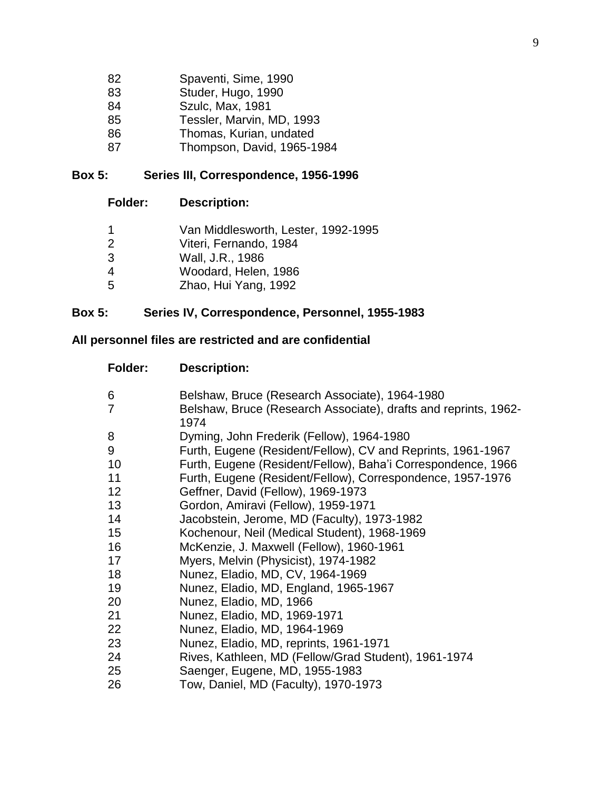| 82 | Spaventi, Sime, 1990       |
|----|----------------------------|
| 83 | Studer, Hugo, 1990         |
| 84 | Szulc, Max, 1981           |
| 85 | Tessler, Marvin, MD, 1993  |
| 86 | Thomas, Kurian, undated    |
| 87 | Thompson, David, 1965-1984 |

### **Box 5: Series III, Correspondence, 1956-1996**

| -1            | Van Middlesworth, Lester, 1992-1995 |
|---------------|-------------------------------------|
| $\mathcal{P}$ | Viteri, Fernando, 1984              |
| 3             | Wall, J.R., 1986                    |
| -4            | Woodard, Helen, 1986                |
| -5            | Zhao, Hui Yang, 1992                |

### **Box 5: Series IV, Correspondence, Personnel, 1955-1983**

### **All personnel files are restricted and are confidential**

| Folder:         | <b>Description:</b>                                                     |
|-----------------|-------------------------------------------------------------------------|
| 6               | Belshaw, Bruce (Research Associate), 1964-1980                          |
| 7               | Belshaw, Bruce (Research Associate), drafts and reprints, 1962-<br>1974 |
| 8               | Dyming, John Frederik (Fellow), 1964-1980                               |
| 9               | Furth, Eugene (Resident/Fellow), CV and Reprints, 1961-1967             |
| 10              | Furth, Eugene (Resident/Fellow), Baha'i Correspondence, 1966            |
| 11              | Furth, Eugene (Resident/Fellow), Correspondence, 1957-1976              |
| 12 <sub>2</sub> | Geffner, David (Fellow), 1969-1973                                      |
| 13              | Gordon, Amiravi (Fellow), 1959-1971                                     |
| 14              | Jacobstein, Jerome, MD (Faculty), 1973-1982                             |
| 15              | Kochenour, Neil (Medical Student), 1968-1969                            |
| 16              | McKenzie, J. Maxwell (Fellow), 1960-1961                                |
| 17              | Myers, Melvin (Physicist), 1974-1982                                    |
| 18              | Nunez, Eladio, MD, CV, 1964-1969                                        |
| 19              | Nunez, Eladio, MD, England, 1965-1967                                   |
| 20              | Nunez, Eladio, MD, 1966                                                 |
| 21              | Nunez, Eladio, MD, 1969-1971                                            |
| 22              | Nunez, Eladio, MD, 1964-1969                                            |
| 23              | Nunez, Eladio, MD, reprints, 1961-1971                                  |
| 24              | Rives, Kathleen, MD (Fellow/Grad Student), 1961-1974                    |
| 25              | Saenger, Eugene, MD, 1955-1983                                          |
| 26              | Tow, Daniel, MD (Faculty), 1970-1973                                    |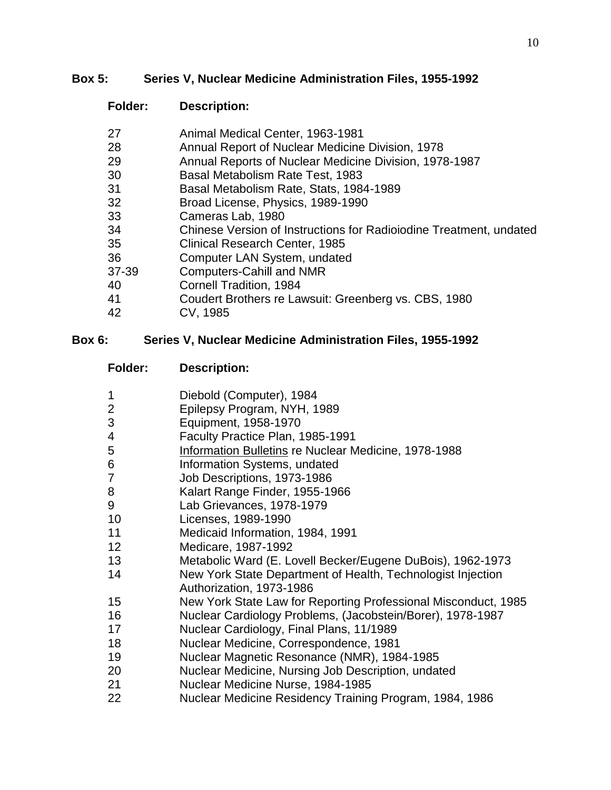#### **Box 5: Series V, Nuclear Medicine Administration Files, 1955-1992**

### **Folder: Description:**

| 27    | Animal Medical Center, 1963-1981                                   |
|-------|--------------------------------------------------------------------|
| 28    | Annual Report of Nuclear Medicine Division, 1978                   |
| 29    | Annual Reports of Nuclear Medicine Division, 1978-1987             |
| 30    | Basal Metabolism Rate Test, 1983                                   |
| 31    | Basal Metabolism Rate, Stats, 1984-1989                            |
| 32    | Broad License, Physics, 1989-1990                                  |
| 33    | Cameras Lab, 1980                                                  |
| 34    | Chinese Version of Instructions for Radiolodine Treatment, undated |
| 35    | Clinical Research Center, 1985                                     |
| 36    | Computer LAN System, undated                                       |
| 37-39 | <b>Computers-Cahill and NMR</b>                                    |
| 40    | Cornell Tradition, 1984                                            |
| 41    | Coudert Brothers re Lawsuit: Greenberg vs. CBS, 1980               |
| 42    | CV, 1985                                                           |
|       |                                                                    |

### **Box 6: Series V, Nuclear Medicine Administration Files, 1955-1992**

- Diebold (Computer), 1984
- Epilepsy Program, NYH, 1989
- Equipment, 1958-1970
- Faculty Practice Plan, 1985-1991
- Information Bulletins re Nuclear Medicine, 1978-1988
- Information Systems, undated
- Job Descriptions, 1973-1986
- Kalart Range Finder, 1955-1966
- Lab Grievances, 1978-1979
- Licenses, 1989-1990
- Medicaid Information, 1984, 1991
- Medicare, 1987-1992
- Metabolic Ward (E. Lovell Becker/Eugene DuBois), 1962-1973
- New York State Department of Health, Technologist Injection Authorization, 1973-1986
- New York State Law for Reporting Professional Misconduct, 1985
- Nuclear Cardiology Problems, (Jacobstein/Borer), 1978-1987
- Nuclear Cardiology, Final Plans, 11/1989
- Nuclear Medicine, Correspondence, 1981
- Nuclear Magnetic Resonance (NMR), 1984-1985
- Nuclear Medicine, Nursing Job Description, undated
- Nuclear Medicine Nurse, 1984-1985
- Nuclear Medicine Residency Training Program, 1984, 1986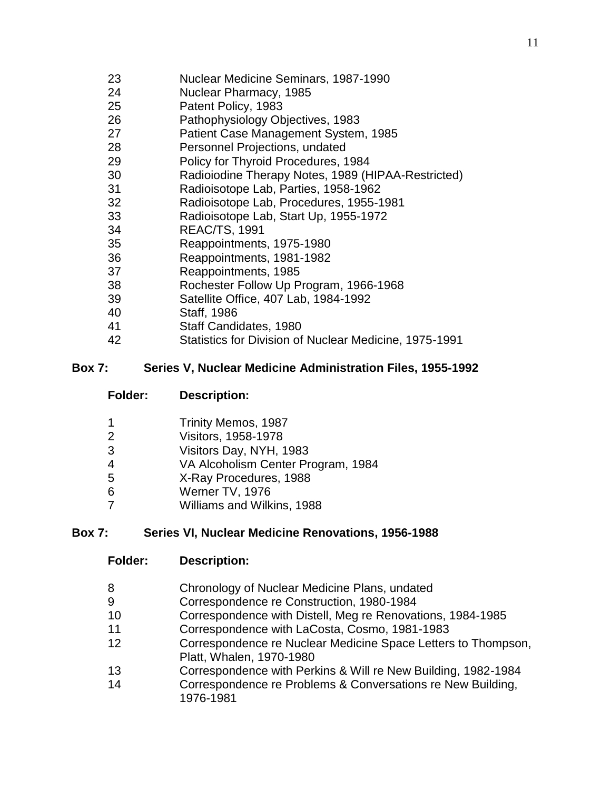- Nuclear Medicine Seminars, 1987-1990
- Nuclear Pharmacy, 1985
- Patent Policy, 1983
- Pathophysiology Objectives, 1983
- Patient Case Management System, 1985
- Personnel Projections, undated
- Policy for Thyroid Procedures, 1984
- Radioiodine Therapy Notes, 1989 (HIPAA-Restricted)
- Radioisotope Lab, Parties, 1958-1962
- Radioisotope Lab, Procedures, 1955-1981
- Radioisotope Lab, Start Up, 1955-1972
- REAC/TS, 1991
- Reappointments, 1975-1980
- Reappointments, 1981-1982
- Reappointments, 1985
- Rochester Follow Up Program, 1966-1968
- Satellite Office, 407 Lab, 1984-1992
- Staff, 1986
- Staff Candidates, 1980
- Statistics for Division of Nuclear Medicine, 1975-1991

#### **Box 7: Series V, Nuclear Medicine Administration Files, 1955-1992**

**Folder: Description:**

| -1             | Trinity Memos, 1987                |
|----------------|------------------------------------|
| 2              | Visitors, 1958-1978                |
| 3              | Visitors Day, NYH, 1983            |
| $\overline{4}$ | VA Alcoholism Center Program, 1984 |
| 5              | X-Ray Procedures, 1988             |
| 6              | Werner TV, 1976                    |
|                | Williams and Wilkins, 1988         |

### **Box 7: Series VI, Nuclear Medicine Renovations, 1956-1988**

- **Folder: Description:**
- Chronology of Nuclear Medicine Plans, undated
- Correspondence re Construction, 1980-1984
- Correspondence with Distell, Meg re Renovations, 1984-1985
- Correspondence with LaCosta, Cosmo, 1981-1983
- Correspondence re Nuclear Medicine Space Letters to Thompson, Platt, Whalen, 1970-1980
- Correspondence with Perkins & Will re New Building, 1982-1984
- Correspondence re Problems & Conversations re New Building, 1976-1981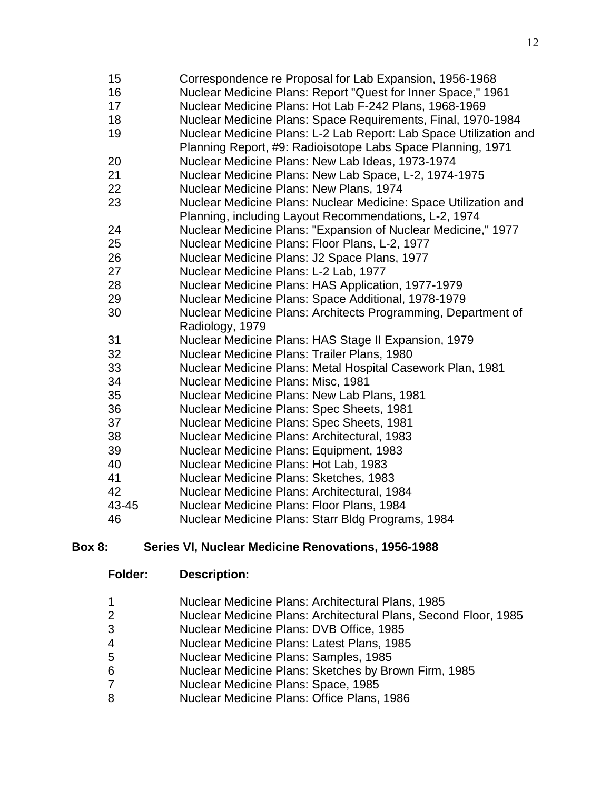| 15    | Correspondence re Proposal for Lab Expansion, 1956-1968           |
|-------|-------------------------------------------------------------------|
| 16    | Nuclear Medicine Plans: Report "Quest for Inner Space," 1961      |
| 17    | Nuclear Medicine Plans: Hot Lab F-242 Plans, 1968-1969            |
| 18    | Nuclear Medicine Plans: Space Requirements, Final, 1970-1984      |
| 19    | Nuclear Medicine Plans: L-2 Lab Report: Lab Space Utilization and |
|       | Planning Report, #9: Radioisotope Labs Space Planning, 1971       |
| 20    | Nuclear Medicine Plans: New Lab Ideas, 1973-1974                  |
| 21    | Nuclear Medicine Plans: New Lab Space, L-2, 1974-1975             |
| 22    | Nuclear Medicine Plans: New Plans, 1974                           |
| 23    | Nuclear Medicine Plans: Nuclear Medicine: Space Utilization and   |
|       | Planning, including Layout Recommendations, L-2, 1974             |
| 24    | Nuclear Medicine Plans: "Expansion of Nuclear Medicine," 1977     |
| 25    | Nuclear Medicine Plans: Floor Plans, L-2, 1977                    |
| 26    | Nuclear Medicine Plans: J2 Space Plans, 1977                      |
| 27    | Nuclear Medicine Plans: L-2 Lab, 1977                             |
| 28    | Nuclear Medicine Plans: HAS Application, 1977-1979                |
| 29    | Nuclear Medicine Plans: Space Additional, 1978-1979               |
| 30    | Nuclear Medicine Plans: Architects Programming, Department of     |
|       | Radiology, 1979                                                   |
| 31    | Nuclear Medicine Plans: HAS Stage II Expansion, 1979              |
| 32    | Nuclear Medicine Plans: Trailer Plans, 1980                       |
| 33    | Nuclear Medicine Plans: Metal Hospital Casework Plan, 1981        |
| 34    | Nuclear Medicine Plans: Misc, 1981                                |
| 35    | Nuclear Medicine Plans: New Lab Plans, 1981                       |
| 36    | Nuclear Medicine Plans: Spec Sheets, 1981                         |
| 37    | Nuclear Medicine Plans: Spec Sheets, 1981                         |
| 38    | Nuclear Medicine Plans: Architectural, 1983                       |
| 39    | Nuclear Medicine Plans: Equipment, 1983                           |
| 40    | Nuclear Medicine Plans: Hot Lab, 1983                             |
| 41    | Nuclear Medicine Plans: Sketches, 1983                            |
| 42    | Nuclear Medicine Plans: Architectural, 1984                       |
| 43-45 | Nuclear Medicine Plans: Floor Plans, 1984                         |
| 46    | Nuclear Medicine Plans: Starr Bldg Programs, 1984                 |

#### **Box 8: Series VI, Nuclear Medicine Renovations, 1956-1988**

| Nuclear Medicine Plans: Architectural Plans, 1985 |  |
|---------------------------------------------------|--|
|---------------------------------------------------|--|

- Nuclear Medicine Plans: Architectural Plans, Second Floor, 1985
- Nuclear Medicine Plans: DVB Office, 1985
- Nuclear Medicine Plans: Latest Plans, 1985
- Nuclear Medicine Plans: Samples, 1985
- Nuclear Medicine Plans: Sketches by Brown Firm, 1985
- Nuclear Medicine Plans: Space, 1985
- Nuclear Medicine Plans: Office Plans, 1986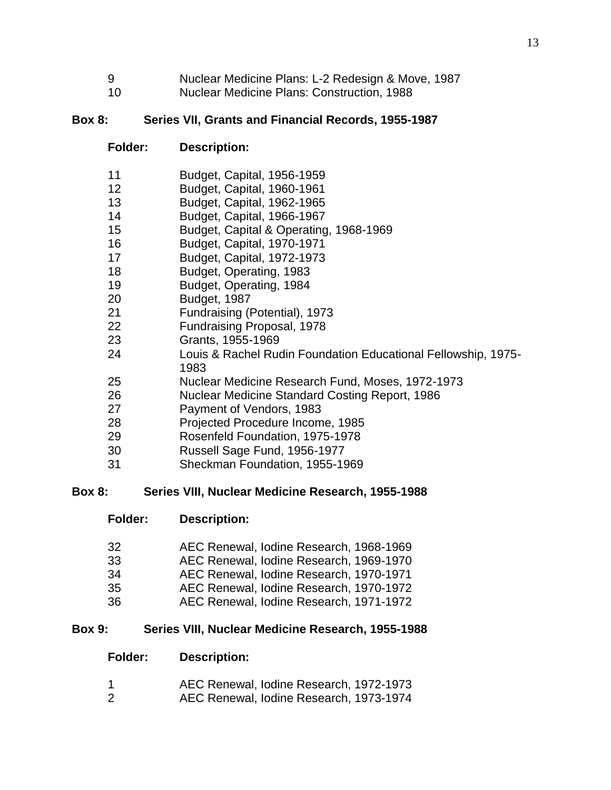- Nuclear Medicine Plans: L-2 Redesign & Move, 1987
- Nuclear Medicine Plans: Construction, 1988

### **Box 8: Series VII, Grants and Financial Records, 1955-1987**

### **Folder: Description:**

| -11                      | Budget, Capital, 1956-1959 |  |
|--------------------------|----------------------------|--|
| $\overline{\phantom{a}}$ | <b>PULLER</b> PULLER 1001  |  |

- Budget, Capital, 1960-1961
- Budget, Capital, 1962-1965 Budget, Capital, 1966-1967
- Budget, Capital & Operating, 1968-1969
- Budget, Capital, 1970-1971
- Budget, Capital, 1972-1973
- Budget, Operating, 1983
- Budget, Operating, 1984
- 
- Budget, 1987
- Fundraising (Potential), 1973
- Fundraising Proposal, 1978
- Grants, 1955-1969
- Louis & Rachel Rudin Foundation Educational Fellowship, 1975-
- Nuclear Medicine Research Fund, Moses, 1972-1973
- Nuclear Medicine Standard Costing Report, 1986
- Payment of Vendors, 1983
- Projected Procedure Income, 1985
- Rosenfeld Foundation, 1975-1978
- Russell Sage Fund, 1956-1977
- Sheckman Foundation, 1955-1969

#### **Box 8: Series VIII, Nuclear Medicine Research, 1955-1988**

- **Folder: Description:**
- AEC Renewal, Iodine Research, 1968-1969
- AEC Renewal, Iodine Research, 1969-1970
- AEC Renewal, Iodine Research, 1970-1971
- AEC Renewal, Iodine Research, 1970-1972
- AEC Renewal, Iodine Research, 1971-1972

### **Box 9: Series VIII, Nuclear Medicine Research, 1955-1988**

- **Folder: Description:**
- AEC Renewal, Iodine Research, 1972-1973
- AEC Renewal, Iodine Research, 1973-1974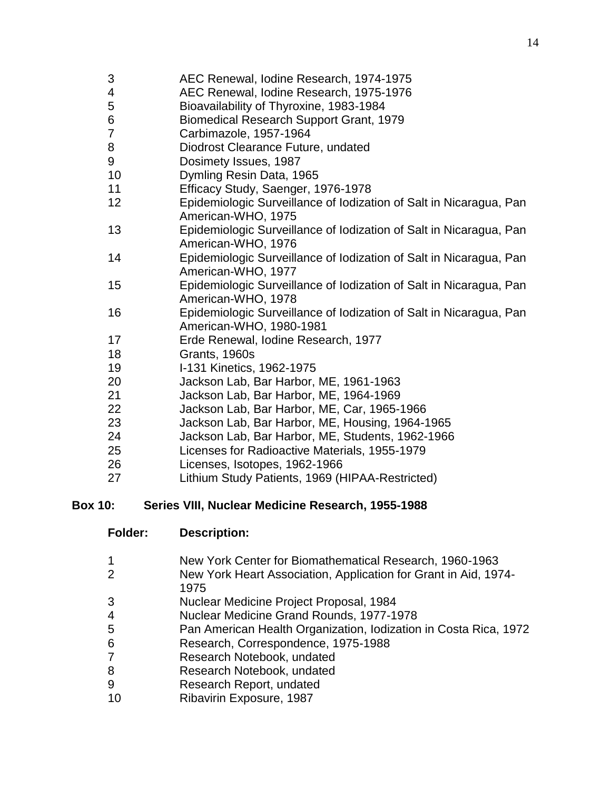- AEC Renewal, Iodine Research, 1975-1976
- Bioavailability of Thyroxine, 1983-1984
- Biomedical Research Support Grant, 1979
- Carbimazole, 1957-1964
- Diodrost Clearance Future, undated
- Dosimety Issues, 1987
- Dymling Resin Data, 1965
- Efficacy Study, Saenger, 1976-1978
- Epidemiologic Surveillance of Iodization of Salt in Nicaragua, Pan American-WHO, 1975
- Epidemiologic Surveillance of Iodization of Salt in Nicaragua, Pan American-WHO, 1976
- Epidemiologic Surveillance of Iodization of Salt in Nicaragua, Pan American-WHO, 1977
- Epidemiologic Surveillance of Iodization of Salt in Nicaragua, Pan American-WHO, 1978
- Epidemiologic Surveillance of Iodization of Salt in Nicaragua, Pan American-WHO, 1980-1981
- Erde Renewal, Iodine Research, 1977
- Grants, 1960s
- I-131 Kinetics, 1962-1975
- Jackson Lab, Bar Harbor, ME, 1961-1963
- Jackson Lab, Bar Harbor, ME, 1964-1969
- Jackson Lab, Bar Harbor, ME, Car, 1965-1966
- Jackson Lab, Bar Harbor, ME, Housing, 1964-1965
- Jackson Lab, Bar Harbor, ME, Students, 1962-1966
- Licenses for Radioactive Materials, 1955-1979
- Licenses, Isotopes, 1962-1966
- Lithium Study Patients, 1969 (HIPAA-Restricted)

### **Box 10: Series VIII, Nuclear Medicine Research, 1955-1988**

- **Folder: Description:**
- New York Center for Biomathematical Research, 1960-1963
- New York Heart Association, Application for Grant in Aid, 1974-
- Nuclear Medicine Project Proposal, 1984
- Nuclear Medicine Grand Rounds, 1977-1978
- Pan American Health Organization, Iodization in Costa Rica, 1972
- Research, Correspondence, 1975-1988
- Research Notebook, undated
- Research Notebook, undated
- Research Report, undated
- Ribavirin Exposure, 1987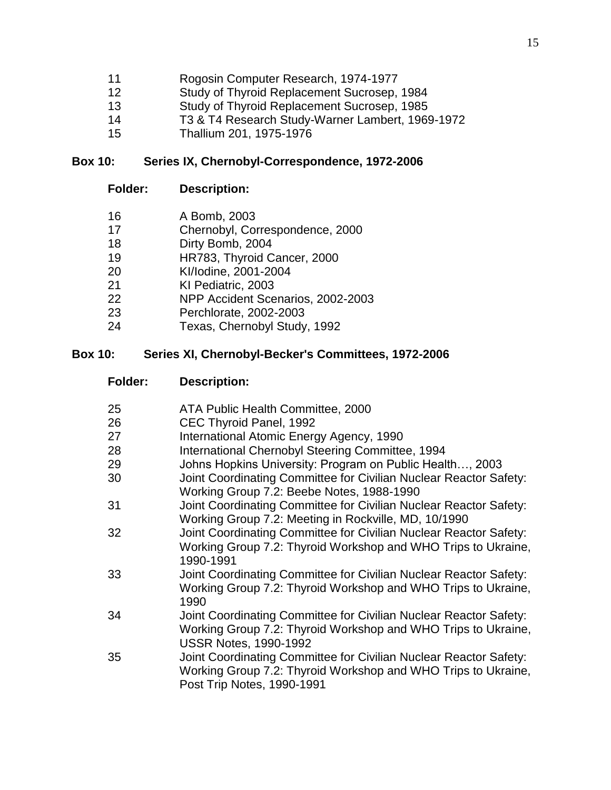- Rogosin Computer Research, 1974-1977
- Study of Thyroid Replacement Sucrosep, 1984
- Study of Thyroid Replacement Sucrosep, 1985
- T3 & T4 Research Study-Warner Lambert, 1969-1972
- Thallium 201, 1975-1976

#### **Box 10: Series IX, Chernobyl-Correspondence, 1972-2006**

#### **Folder: Description:**

- A Bomb, 2003
- Chernobyl, Correspondence, 2000
- Dirty Bomb, 2004
- HR783, Thyroid Cancer, 2000
- KI/Iodine, 2001-2004
- KI Pediatric, 2003
- NPP Accident Scenarios, 2002-2003
- Perchlorate, 2002-2003
- Texas, Chernobyl Study, 1992

#### **Box 10: Series XI, Chernobyl-Becker's Committees, 1972-2006**

- **Folder: Description:**
- ATA Public Health Committee, 2000
- CEC Thyroid Panel, 1992
- International Atomic Energy Agency, 1990
- International Chernobyl Steering Committee, 1994
- Johns Hopkins University: Program on Public Health…, 2003
- Joint Coordinating Committee for Civilian Nuclear Reactor Safety: Working Group 7.2: Beebe Notes, 1988-1990
- Joint Coordinating Committee for Civilian Nuclear Reactor Safety: Working Group 7.2: Meeting in Rockville, MD, 10/1990
- Joint Coordinating Committee for Civilian Nuclear Reactor Safety: Working Group 7.2: Thyroid Workshop and WHO Trips to Ukraine, 1990-1991
- Joint Coordinating Committee for Civilian Nuclear Reactor Safety: Working Group 7.2: Thyroid Workshop and WHO Trips to Ukraine,
- Joint Coordinating Committee for Civilian Nuclear Reactor Safety: Working Group 7.2: Thyroid Workshop and WHO Trips to Ukraine, USSR Notes, 1990-1992
- Joint Coordinating Committee for Civilian Nuclear Reactor Safety: Working Group 7.2: Thyroid Workshop and WHO Trips to Ukraine, Post Trip Notes, 1990-1991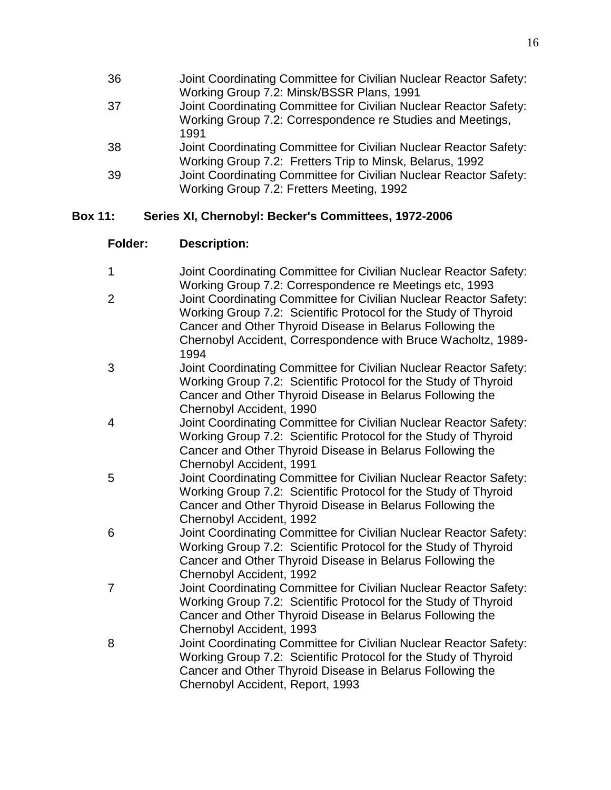| 36 | Joint Coordinating Committee for Civilian Nuclear Reactor Safety: |
|----|-------------------------------------------------------------------|
|    | Working Group 7.2: Minsk/BSSR Plans, 1991                         |
| 37 | Joint Coordinating Committee for Civilian Nuclear Reactor Safety: |
|    | Working Group 7.2: Correspondence re Studies and Meetings,        |
|    | 1991                                                              |
| 38 | Joint Coordinating Committee for Civilian Nuclear Reactor Safety: |
|    | Working Group 7.2: Fretters Trip to Minsk, Belarus, 1992          |
| 39 | Joint Coordinating Committee for Civilian Nuclear Reactor Safety: |
|    | Working Group 7.2: Fretters Meeting, 1992                         |
|    |                                                                   |

#### **Box 11: Series XI, Chernobyl: Becker's Committees, 1972-2006**

| Joint Coordinating Committee for Civilian Nuclear Reactor Safety: |
|-------------------------------------------------------------------|
| Working Group 7.2: Correspondence re Meetings etc, 1993           |

- 2 Joint Coordinating Committee for Civilian Nuclear Reactor Safety: Working Group 7.2: Scientific Protocol for the Study of Thyroid Cancer and Other Thyroid Disease in Belarus Following the Chernobyl Accident, Correspondence with Bruce Wacholtz, 1989- 1994
- 3 Joint Coordinating Committee for Civilian Nuclear Reactor Safety: Working Group 7.2: Scientific Protocol for the Study of Thyroid Cancer and Other Thyroid Disease in Belarus Following the Chernobyl Accident, 1990
- 4 Joint Coordinating Committee for Civilian Nuclear Reactor Safety: Working Group 7.2: Scientific Protocol for the Study of Thyroid Cancer and Other Thyroid Disease in Belarus Following the Chernobyl Accident, 1991
- 5 Joint Coordinating Committee for Civilian Nuclear Reactor Safety: Working Group 7.2: Scientific Protocol for the Study of Thyroid Cancer and Other Thyroid Disease in Belarus Following the Chernobyl Accident, 1992
- 6 Joint Coordinating Committee for Civilian Nuclear Reactor Safety: Working Group 7.2: Scientific Protocol for the Study of Thyroid Cancer and Other Thyroid Disease in Belarus Following the Chernobyl Accident, 1992
- 7 Joint Coordinating Committee for Civilian Nuclear Reactor Safety: Working Group 7.2: Scientific Protocol for the Study of Thyroid Cancer and Other Thyroid Disease in Belarus Following the Chernobyl Accident, 1993
- 8 Joint Coordinating Committee for Civilian Nuclear Reactor Safety: Working Group 7.2: Scientific Protocol for the Study of Thyroid Cancer and Other Thyroid Disease in Belarus Following the Chernobyl Accident, Report, 1993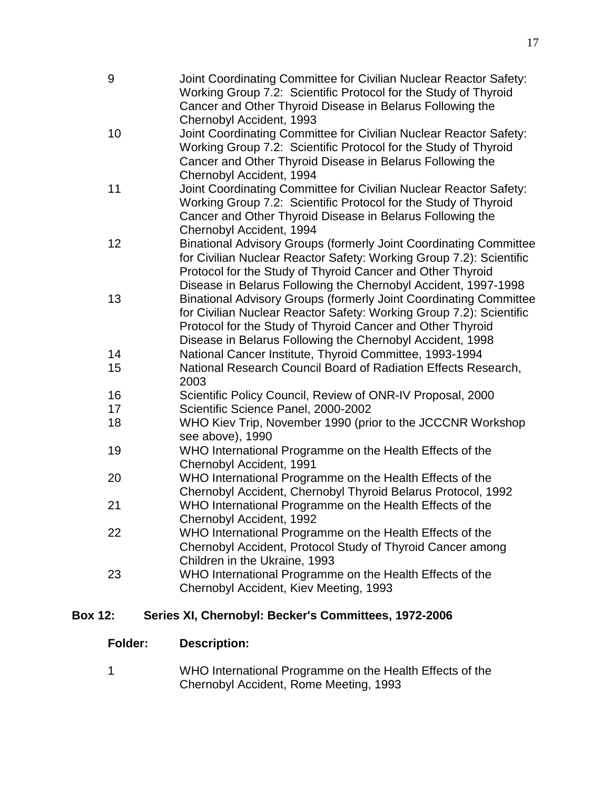| 9  | Joint Coordinating Committee for Civilian Nuclear Reactor Safety:<br>Working Group 7.2: Scientific Protocol for the Study of Thyroid<br>Cancer and Other Thyroid Disease in Belarus Following the<br>Chernobyl Accident, 1993                                                   |
|----|---------------------------------------------------------------------------------------------------------------------------------------------------------------------------------------------------------------------------------------------------------------------------------|
| 10 | Joint Coordinating Committee for Civilian Nuclear Reactor Safety:<br>Working Group 7.2: Scientific Protocol for the Study of Thyroid<br>Cancer and Other Thyroid Disease in Belarus Following the<br>Chernobyl Accident, 1994                                                   |
| 11 | Joint Coordinating Committee for Civilian Nuclear Reactor Safety:<br>Working Group 7.2: Scientific Protocol for the Study of Thyroid<br>Cancer and Other Thyroid Disease in Belarus Following the<br>Chernobyl Accident, 1994                                                   |
| 12 | <b>Binational Advisory Groups (formerly Joint Coordinating Committee</b><br>for Civilian Nuclear Reactor Safety: Working Group 7.2): Scientific<br>Protocol for the Study of Thyroid Cancer and Other Thyroid<br>Disease in Belarus Following the Chernobyl Accident, 1997-1998 |
| 13 | <b>Binational Advisory Groups (formerly Joint Coordinating Committee</b><br>for Civilian Nuclear Reactor Safety: Working Group 7.2): Scientific<br>Protocol for the Study of Thyroid Cancer and Other Thyroid<br>Disease in Belarus Following the Chernobyl Accident, 1998      |
| 14 | National Cancer Institute, Thyroid Committee, 1993-1994                                                                                                                                                                                                                         |
| 15 | National Research Council Board of Radiation Effects Research,<br>2003                                                                                                                                                                                                          |
| 16 | Scientific Policy Council, Review of ONR-IV Proposal, 2000                                                                                                                                                                                                                      |
| 17 | Scientific Science Panel, 2000-2002                                                                                                                                                                                                                                             |
| 18 | WHO Kiev Trip, November 1990 (prior to the JCCCNR Workshop<br>see above), 1990                                                                                                                                                                                                  |
| 19 | WHO International Programme on the Health Effects of the<br>Chernobyl Accident, 1991                                                                                                                                                                                            |
| 20 | WHO International Programme on the Health Effects of the<br>Chernobyl Accident, Chernobyl Thyroid Belarus Protocol, 1992                                                                                                                                                        |
| 21 | WHO International Programme on the Health Effects of the<br>Chernobyl Accident, 1992                                                                                                                                                                                            |
| 22 | WHO International Programme on the Health Effects of the<br>Chernobyl Accident, Protocol Study of Thyroid Cancer among<br>Children in the Ukraine, 1993                                                                                                                         |
| 23 | WHO International Programme on the Health Effects of the<br>Chernobyl Accident, Kiev Meeting, 1993                                                                                                                                                                              |

### **Box 12: Series XI, Chernobyl: Becker's Committees, 1972-2006**

### **Folder: Description:**

1 WHO International Programme on the Health Effects of the Chernobyl Accident, Rome Meeting, 1993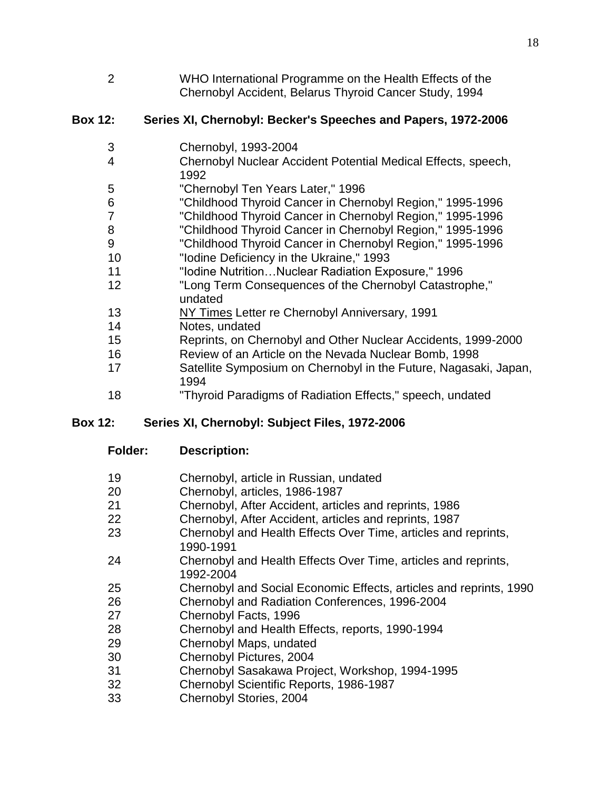WHO International Programme on the Health Effects of the Chernobyl Accident, Belarus Thyroid Cancer Study, 1994

### **Box 12: Series XI, Chernobyl: Becker's Speeches and Papers, 1972-2006**

- Chernobyl, 1993-2004
- Chernobyl Nuclear Accident Potential Medical Effects, speech,
- "Chernobyl Ten Years Later," 1996
- "Childhood Thyroid Cancer in Chernobyl Region," 1995-1996
- "Childhood Thyroid Cancer in Chernobyl Region," 1995-1996
- "Childhood Thyroid Cancer in Chernobyl Region," 1995-1996
- "Childhood Thyroid Cancer in Chernobyl Region," 1995-1996
- "Iodine Deficiency in the Ukraine," 1993
- "Iodine Nutrition…Nuclear Radiation Exposure," 1996
- "Long Term Consequences of the Chernobyl Catastrophe," undated
- NY Times Letter re Chernobyl Anniversary, 1991
- Notes, undated
- Reprints, on Chernobyl and Other Nuclear Accidents, 1999-2000
- Review of an Article on the Nevada Nuclear Bomb, 1998
- Satellite Symposium on Chernobyl in the Future, Nagasaki, Japan,
- "Thyroid Paradigms of Radiation Effects," speech, undated

### **Box 12: Series XI, Chernobyl: Subject Files, 1972-2006**

- **Folder: Description:**
- Chernobyl, article in Russian, undated
- Chernobyl, articles, 1986-1987
- Chernobyl, After Accident, articles and reprints, 1986
- Chernobyl, After Accident, articles and reprints, 1987
- Chernobyl and Health Effects Over Time, articles and reprints, 1990-1991
- Chernobyl and Health Effects Over Time, articles and reprints, 1992-2004
- Chernobyl and Social Economic Effects, articles and reprints, 1990
- Chernobyl and Radiation Conferences, 1996-2004
- Chernobyl Facts, 1996
- Chernobyl and Health Effects, reports, 1990-1994
- Chernobyl Maps, undated
- Chernobyl Pictures, 2004
- Chernobyl Sasakawa Project, Workshop, 1994-1995
- Chernobyl Scientific Reports, 1986-1987
- Chernobyl Stories, 2004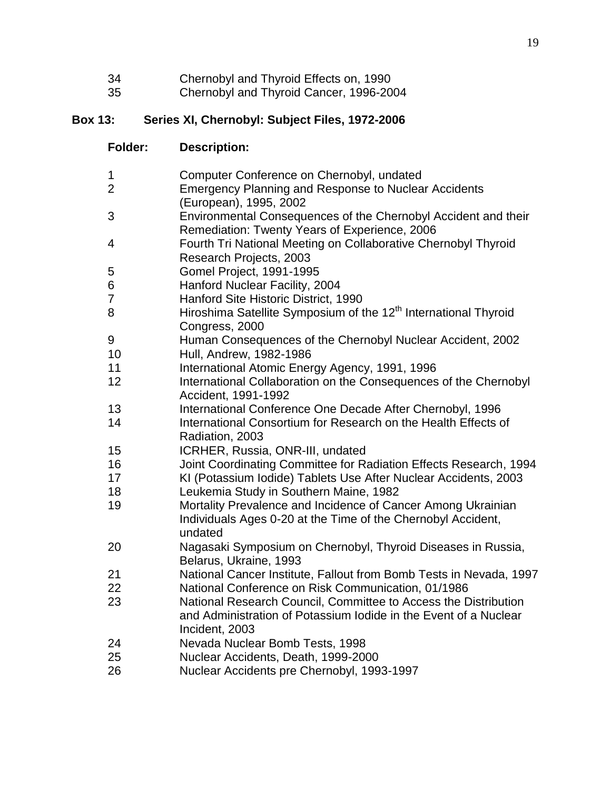- Chernobyl and Thyroid Effects on, 1990
- Chernobyl and Thyroid Cancer, 1996-2004

### **Box 13: Series XI, Chernobyl: Subject Files, 1972-2006**

| <b>Folder:</b> | <b>Description:</b> |
|----------------|---------------------|
|----------------|---------------------|

| 1  | Computer Conference on Chernobyl, undated                                   |
|----|-----------------------------------------------------------------------------|
| 2  | <b>Emergency Planning and Response to Nuclear Accidents</b>                 |
|    | (European), 1995, 2002                                                      |
| 3  | Environmental Consequences of the Chernobyl Accident and their              |
|    | Remediation: Twenty Years of Experience, 2006                               |
| 4  | Fourth Tri National Meeting on Collaborative Chernobyl Thyroid              |
|    | Research Projects, 2003                                                     |
| 5  | Gomel Project, 1991-1995                                                    |
| 6  | Hanford Nuclear Facility, 2004                                              |
| 7  | Hanford Site Historic District, 1990                                        |
| 8  | Hiroshima Satellite Symposium of the 12 <sup>th</sup> International Thyroid |
|    | Congress, 2000                                                              |
| 9  | Human Consequences of the Chernobyl Nuclear Accident, 2002                  |
| 10 | Hull, Andrew, 1982-1986                                                     |
| 11 | International Atomic Energy Agency, 1991, 1996                              |
| 12 | International Collaboration on the Consequences of the Chernobyl            |
|    | Accident, 1991-1992                                                         |
| 13 | International Conference One Decade After Chernobyl, 1996                   |
| 14 | International Consortium for Research on the Health Effects of              |
|    | Radiation, 2003                                                             |
| 15 | ICRHER, Russia, ONR-III, undated                                            |
| 16 | Joint Coordinating Committee for Radiation Effects Research, 1994           |
| 17 | KI (Potassium Iodide) Tablets Use After Nuclear Accidents, 2003             |
| 18 | Leukemia Study in Southern Maine, 1982                                      |
| 19 | Mortality Prevalence and Incidence of Cancer Among Ukrainian                |
|    | Individuals Ages 0-20 at the Time of the Chernobyl Accident,                |
|    | undated                                                                     |
| 20 | Nagasaki Symposium on Chernobyl, Thyroid Diseases in Russia,                |
|    | Belarus, Ukraine, 1993                                                      |
| 21 | National Cancer Institute, Fallout from Bomb Tests in Nevada, 1997          |
| 22 | National Conference on Risk Communication, 01/1986                          |
| 23 | National Research Council, Committee to Access the Distribution             |
|    | and Administration of Potassium lodide in the Event of a Nuclear            |
|    | Incident, 2003                                                              |
| 24 | Nevada Nuclear Bomb Tests, 1998                                             |
| 25 | Nuclear Accidents, Death, 1999-2000                                         |
| 26 | Nuclear Accidents pre Chernobyl, 1993-1997                                  |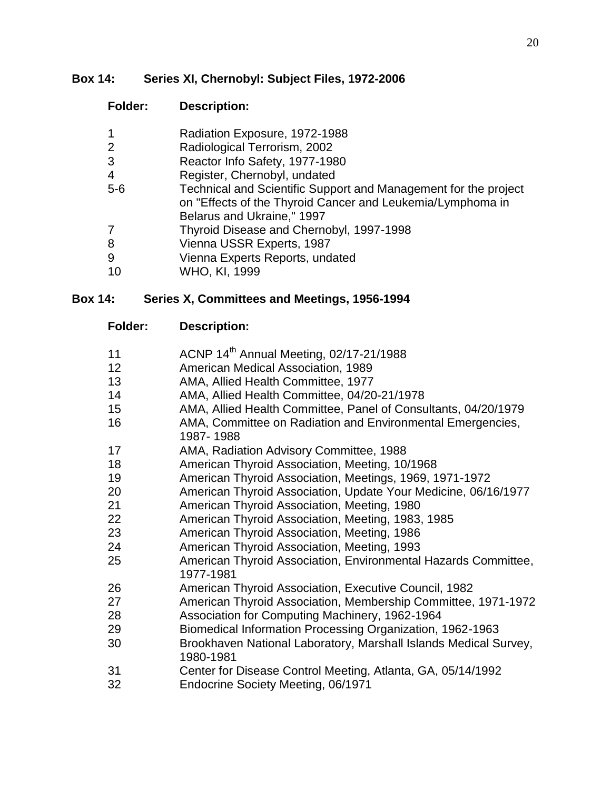#### **Box 14: Series XI, Chernobyl: Subject Files, 1972-2006**

### **Folder: Description:**

- Radiation Exposure, 1972-1988
- Radiological Terrorism, 2002
- Reactor Info Safety, 1977-1980
- Register, Chernobyl, undated
- 5-6 Technical and Scientific Support and Management for the project on "Effects of the Thyroid Cancer and Leukemia/Lymphoma in Belarus and Ukraine," 1997
- Thyroid Disease and Chernobyl, 1997-1998
- Vienna USSR Experts, 1987
- Vienna Experts Reports, undated
- WHO, KI, 1999

### **Box 14: Series X, Committees and Meetings, 1956-1994**

- 11 **ACNP 14<sup>th</sup> Annual Meeting, 02/17-21/1988**
- American Medical Association, 1989
- AMA, Allied Health Committee, 1977
- AMA, Allied Health Committee, 04/20-21/1978
- AMA, Allied Health Committee, Panel of Consultants, 04/20/1979
- AMA, Committee on Radiation and Environmental Emergencies, 1987- 1988
- AMA, Radiation Advisory Committee, 1988
- American Thyroid Association, Meeting, 10/1968
- American Thyroid Association, Meetings, 1969, 1971-1972
- American Thyroid Association, Update Your Medicine, 06/16/1977
- American Thyroid Association, Meeting, 1980
- American Thyroid Association, Meeting, 1983, 1985
- American Thyroid Association, Meeting, 1986
- American Thyroid Association, Meeting, 1993
- American Thyroid Association, Environmental Hazards Committee, 1977-1981
- American Thyroid Association, Executive Council, 1982
- American Thyroid Association, Membership Committee, 1971-1972
- Association for Computing Machinery, 1962-1964
- Biomedical Information Processing Organization, 1962-1963
- Brookhaven National Laboratory, Marshall Islands Medical Survey, 1980-1981
- Center for Disease Control Meeting, Atlanta, GA, 05/14/1992
- Endocrine Society Meeting, 06/1971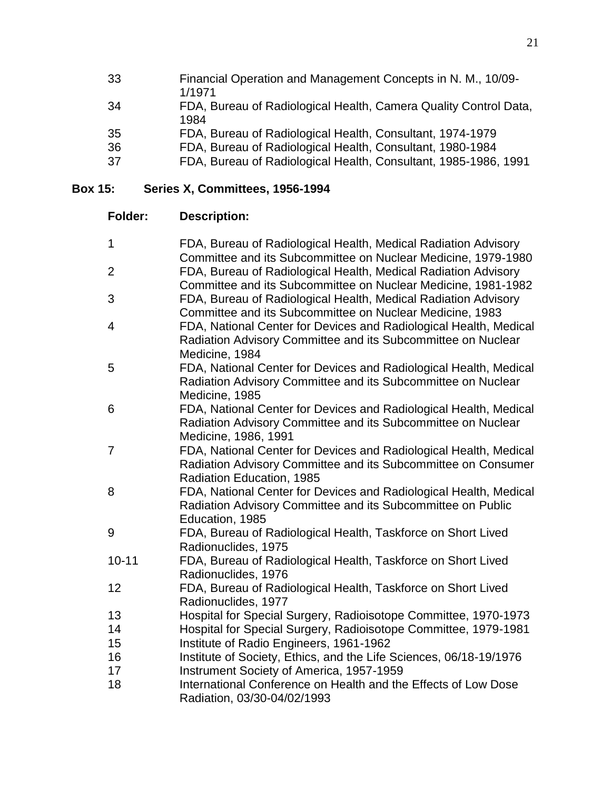| 33 | Financial Operation and Management Concepts in N. M., 10/09-<br>1/1971   |
|----|--------------------------------------------------------------------------|
| 34 | FDA, Bureau of Radiological Health, Camera Quality Control Data,<br>1984 |
| 35 | FDA, Bureau of Radiological Health, Consultant, 1974-1979                |
| 36 | FDA, Bureau of Radiological Health, Consultant, 1980-1984                |
| 37 | FDA, Bureau of Radiological Health, Consultant, 1985-1986, 1991          |

## **Box 15: Series X, Committees, 1956-1994**

| $\mathbf{1}$   | FDA, Bureau of Radiological Health, Medical Radiation Advisory                         |
|----------------|----------------------------------------------------------------------------------------|
|                | Committee and its Subcommittee on Nuclear Medicine, 1979-1980                          |
| $\overline{2}$ | FDA, Bureau of Radiological Health, Medical Radiation Advisory                         |
| 3              | Committee and its Subcommittee on Nuclear Medicine, 1981-1982                          |
|                | FDA, Bureau of Radiological Health, Medical Radiation Advisory                         |
|                | Committee and its Subcommittee on Nuclear Medicine, 1983                               |
| $\overline{4}$ | FDA, National Center for Devices and Radiological Health, Medical                      |
|                | Radiation Advisory Committee and its Subcommittee on Nuclear<br>Medicine, 1984         |
| 5              | FDA, National Center for Devices and Radiological Health, Medical                      |
|                | Radiation Advisory Committee and its Subcommittee on Nuclear                           |
|                | Medicine, 1985                                                                         |
| 6              | FDA, National Center for Devices and Radiological Health, Medical                      |
|                | Radiation Advisory Committee and its Subcommittee on Nuclear                           |
|                | Medicine, 1986, 1991                                                                   |
| $\overline{7}$ | FDA, National Center for Devices and Radiological Health, Medical                      |
|                | Radiation Advisory Committee and its Subcommittee on Consumer                          |
|                | Radiation Education, 1985                                                              |
| 8              | FDA, National Center for Devices and Radiological Health, Medical                      |
|                | Radiation Advisory Committee and its Subcommittee on Public                            |
|                | Education, 1985                                                                        |
| 9              | FDA, Bureau of Radiological Health, Taskforce on Short Lived                           |
|                | Radionuclides, 1975                                                                    |
| $10 - 11$      | FDA, Bureau of Radiological Health, Taskforce on Short Lived                           |
|                | Radionuclides, 1976                                                                    |
| 12             | FDA, Bureau of Radiological Health, Taskforce on Short Lived                           |
| 13             | Radionuclides, 1977<br>Hospital for Special Surgery, Radioisotope Committee, 1970-1973 |
| 14             | Hospital for Special Surgery, Radioisotope Committee, 1979-1981                        |
| 15             | Institute of Radio Engineers, 1961-1962                                                |
| 16             | Institute of Society, Ethics, and the Life Sciences, 06/18-19/1976                     |
| 17             | Instrument Society of America, 1957-1959                                               |
| 18             | International Conference on Health and the Effects of Low Dose                         |
|                | Radiation, 03/30-04/02/1993                                                            |
|                |                                                                                        |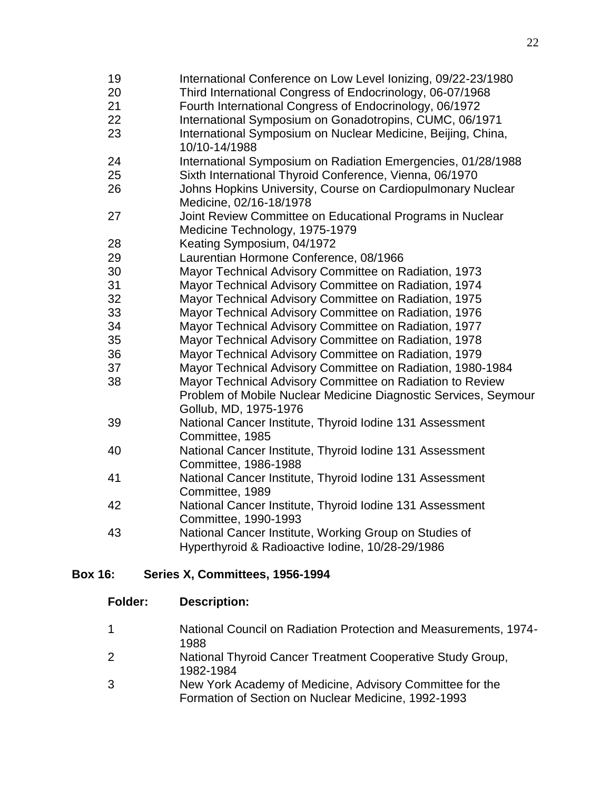International Conference on Low Level Ionizing, 09/22-23/1980 Third International Congress of Endocrinology, 06-07/1968 Fourth International Congress of Endocrinology, 06/1972 International Symposium on Gonadotropins, CUMC, 06/1971 International Symposium on Nuclear Medicine, Beijing, China, 10/10-14/1988 International Symposium on Radiation Emergencies, 01/28/1988 Sixth International Thyroid Conference, Vienna, 06/1970 Johns Hopkins University, Course on Cardiopulmonary Nuclear Medicine, 02/16-18/1978 Joint Review Committee on Educational Programs in Nuclear Medicine Technology, 1975-1979 Keating Symposium, 04/1972 Laurentian Hormone Conference, 08/1966 Mayor Technical Advisory Committee on Radiation, 1973 Mayor Technical Advisory Committee on Radiation, 1974 Mayor Technical Advisory Committee on Radiation, 1975 Mayor Technical Advisory Committee on Radiation, 1976 Mayor Technical Advisory Committee on Radiation, 1977 Mayor Technical Advisory Committee on Radiation, 1978 Mayor Technical Advisory Committee on Radiation, 1979 Mayor Technical Advisory Committee on Radiation, 1980-1984 Mayor Technical Advisory Committee on Radiation to Review Problem of Mobile Nuclear Medicine Diagnostic Services, Seymour Gollub, MD, 1975-1976 National Cancer Institute, Thyroid Iodine 131 Assessment Committee, 1985 National Cancer Institute, Thyroid Iodine 131 Assessment Committee, 1986-1988 National Cancer Institute, Thyroid Iodine 131 Assessment Committee, 1989 National Cancer Institute, Thyroid Iodine 131 Assessment Committee, 1990-1993 National Cancer Institute, Working Group on Studies of Hyperthyroid & Radioactive Iodine, 10/28-29/1986

#### **Box 16: Series X, Committees, 1956-1994**

|   | National Council on Radiation Protection and Measurements, 1974-        |
|---|-------------------------------------------------------------------------|
|   | 1988                                                                    |
| 2 | National Thyroid Cancer Treatment Cooperative Study Group,<br>1982-1984 |

 New York Academy of Medicine, Advisory Committee for the Formation of Section on Nuclear Medicine, 1992-1993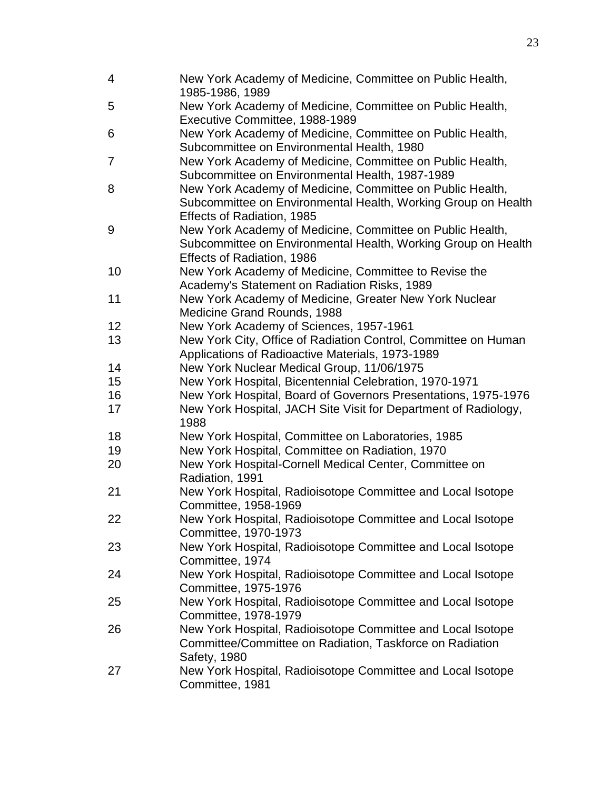| $\overline{4}$ | New York Academy of Medicine, Committee on Public Health,<br>1985-1986, 1989                |
|----------------|---------------------------------------------------------------------------------------------|
| 5              | New York Academy of Medicine, Committee on Public Health,<br>Executive Committee, 1988-1989 |
| 6              | New York Academy of Medicine, Committee on Public Health,                                   |
|                | Subcommittee on Environmental Health, 1980                                                  |
| 7              | New York Academy of Medicine, Committee on Public Health,                                   |
|                | Subcommittee on Environmental Health, 1987-1989                                             |
| 8              | New York Academy of Medicine, Committee on Public Health,                                   |
|                | Subcommittee on Environmental Health, Working Group on Health                               |
|                | Effects of Radiation, 1985                                                                  |
| 9              | New York Academy of Medicine, Committee on Public Health,                                   |
|                | Subcommittee on Environmental Health, Working Group on Health                               |
|                | Effects of Radiation, 1986                                                                  |
| 10             | New York Academy of Medicine, Committee to Revise the                                       |
|                | Academy's Statement on Radiation Risks, 1989                                                |
| 11             | New York Academy of Medicine, Greater New York Nuclear                                      |
|                | Medicine Grand Rounds, 1988                                                                 |
| 12             | New York Academy of Sciences, 1957-1961                                                     |
| 13             | New York City, Office of Radiation Control, Committee on Human                              |
|                | Applications of Radioactive Materials, 1973-1989                                            |
| 14             | New York Nuclear Medical Group, 11/06/1975                                                  |
| 15             | New York Hospital, Bicentennial Celebration, 1970-1971                                      |
| 16             | New York Hospital, Board of Governors Presentations, 1975-1976                              |
| 17             | New York Hospital, JACH Site Visit for Department of Radiology,                             |
|                | 1988                                                                                        |
| 18             | New York Hospital, Committee on Laboratories, 1985                                          |
| 19             | New York Hospital, Committee on Radiation, 1970                                             |
| 20             | New York Hospital-Cornell Medical Center, Committee on                                      |
|                | Radiation, 1991                                                                             |
| 21             | New York Hospital, Radioisotope Committee and Local Isotope<br>Committee, 1958-1969         |
| 22             | New York Hospital, Radioisotope Committee and Local Isotope                                 |
|                | Committee, 1970-1973                                                                        |
| 23             | New York Hospital, Radioisotope Committee and Local Isotope                                 |
|                | Committee, 1974                                                                             |
| 24             | New York Hospital, Radioisotope Committee and Local Isotope                                 |
|                | Committee, 1975-1976                                                                        |
| 25             | New York Hospital, Radioisotope Committee and Local Isotope                                 |
|                | Committee, 1978-1979                                                                        |
| 26             | New York Hospital, Radioisotope Committee and Local Isotope                                 |
|                | Committee/Committee on Radiation, Taskforce on Radiation                                    |
|                | Safety, 1980                                                                                |
| 27             | New York Hospital, Radioisotope Committee and Local Isotope                                 |
|                | Committee, 1981                                                                             |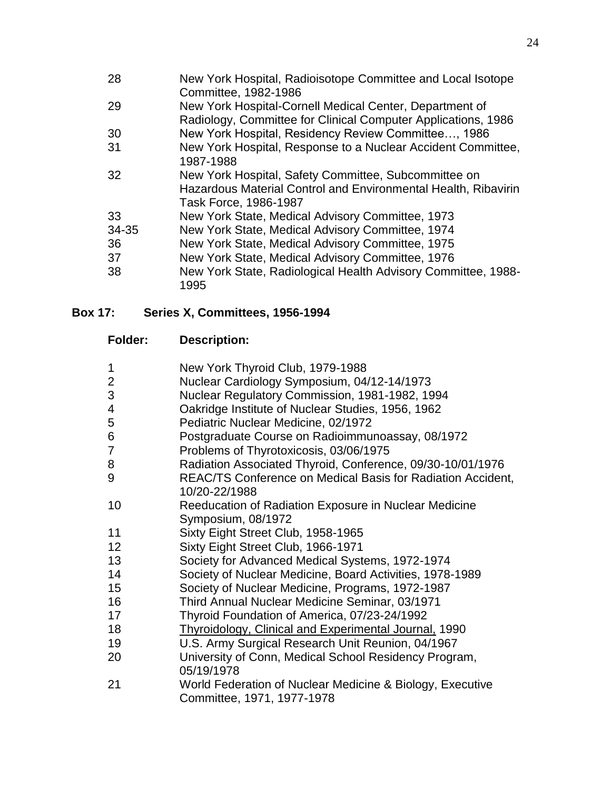| New York Hospital, Radioisotope Committee and Local Isotope    |
|----------------------------------------------------------------|
| Committee, 1982-1986                                           |
| New York Hospital-Cornell Medical Center, Department of        |
| Radiology, Committee for Clinical Computer Applications, 1986  |
| New York Hospital, Residency Review Committee, 1986            |
| New York Hospital, Response to a Nuclear Accident Committee,   |
| 1987-1988                                                      |
| New York Hospital, Safety Committee, Subcommittee on           |
| Hazardous Material Control and Environmental Health, Ribavirin |
| Task Force, 1986-1987                                          |
| New York State, Medical Advisory Committee, 1973               |
| New York State, Medical Advisory Committee, 1974               |
| New York State, Medical Advisory Committee, 1975               |
| New York State, Medical Advisory Committee, 1976               |
| New York State, Radiological Health Advisory Committee, 1988-  |
| 1995                                                           |
|                                                                |

## **Box 17: Series X, Committees, 1956-1994**

| <b>Folder:</b> | <b>Description:</b> |
|----------------|---------------------|
|                |                     |

| 1              | New York Thyroid Club, 1979-1988                             |
|----------------|--------------------------------------------------------------|
| $\overline{2}$ | Nuclear Cardiology Symposium, 04/12-14/1973                  |
| 3              | Nuclear Regulatory Commission, 1981-1982, 1994               |
| 4              | Oakridge Institute of Nuclear Studies, 1956, 1962            |
| 5              | Pediatric Nuclear Medicine, 02/1972                          |
| 6              | Postgraduate Course on Radioimmunoassay, 08/1972             |
| 7              | Problems of Thyrotoxicosis, 03/06/1975                       |
| 8              | Radiation Associated Thyroid, Conference, 09/30-10/01/1976   |
| 9              | REAC/TS Conference on Medical Basis for Radiation Accident,  |
|                | 10/20-22/1988                                                |
| 10             | Reeducation of Radiation Exposure in Nuclear Medicine        |
|                | Symposium, 08/1972                                           |
| 11             | Sixty Eight Street Club, 1958-1965                           |
| 12             | Sixty Eight Street Club, 1966-1971                           |
| 13             | Society for Advanced Medical Systems, 1972-1974              |
| 14             | Society of Nuclear Medicine, Board Activities, 1978-1989     |
| 15             | Society of Nuclear Medicine, Programs, 1972-1987             |
| 16             | Third Annual Nuclear Medicine Seminar, 03/1971               |
| 17             | Thyroid Foundation of America, 07/23-24/1992                 |
| 18             | <b>Thyroidology, Clinical and Experimental Journal, 1990</b> |
| 19             | U.S. Army Surgical Research Unit Reunion, 04/1967            |
| 20             | University of Conn, Medical School Residency Program,        |
|                | 05/19/1978                                                   |
| 21             | World Federation of Nuclear Medicine & Biology, Executive    |
|                | Committee, 1971, 1977-1978                                   |
|                |                                                              |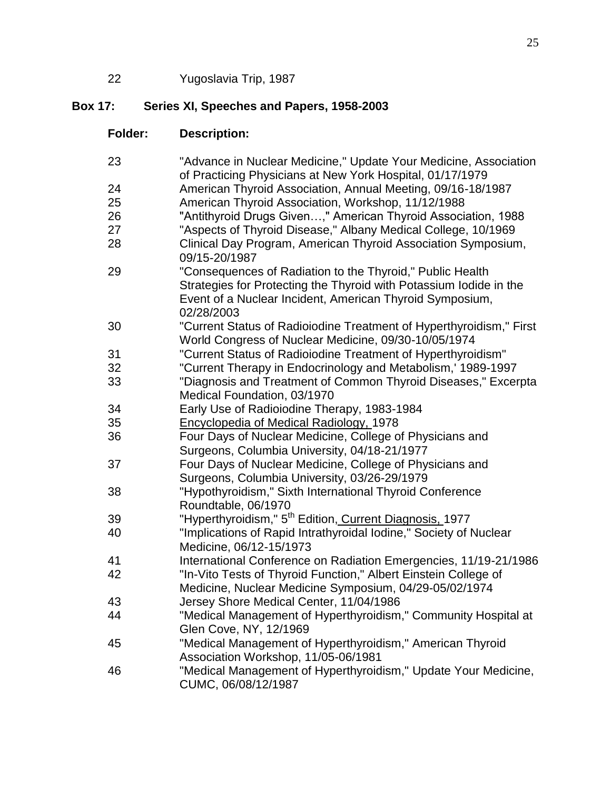22 Yugoslavia Trip, 1987

## **Box 17: Series XI, Speeches and Papers, 1958-2003**

| <b>Folder:</b> | <b>Description:</b>                                                                                                             |
|----------------|---------------------------------------------------------------------------------------------------------------------------------|
| 23             | "Advance in Nuclear Medicine," Update Your Medicine, Association<br>of Practicing Physicians at New York Hospital, 01/17/1979   |
| 24             | American Thyroid Association, Annual Meeting, 09/16-18/1987                                                                     |
| 25             | American Thyroid Association, Workshop, 11/12/1988                                                                              |
| 26             | "Antithyroid Drugs Given," American Thyroid Association, 1988                                                                   |
| 27             | "Aspects of Thyroid Disease," Albany Medical College, 10/1969                                                                   |
| 28             | Clinical Day Program, American Thyroid Association Symposium,<br>09/15-20/1987                                                  |
| 29             | "Consequences of Radiation to the Thyroid," Public Health<br>Strategies for Protecting the Thyroid with Potassium lodide in the |
|                | Event of a Nuclear Incident, American Thyroid Symposium,<br>02/28/2003                                                          |
| 30             | "Current Status of Radioiodine Treatment of Hyperthyroidism," First<br>World Congress of Nuclear Medicine, 09/30-10/05/1974     |
| 31             | "Current Status of Radioiodine Treatment of Hyperthyroidism"                                                                    |
| 32             | "Current Therapy in Endocrinology and Metabolism,' 1989-1997                                                                    |
| 33             | "Diagnosis and Treatment of Common Thyroid Diseases," Excerpta                                                                  |
|                | Medical Foundation, 03/1970                                                                                                     |
| 34             | Early Use of Radioiodine Therapy, 1983-1984                                                                                     |
| 35             | Encyclopedia of Medical Radiology, 1978                                                                                         |
| 36             | Four Days of Nuclear Medicine, College of Physicians and                                                                        |
|                | Surgeons, Columbia University, 04/18-21/1977                                                                                    |
| 37             | Four Days of Nuclear Medicine, College of Physicians and                                                                        |
|                | Surgeons, Columbia University, 03/26-29/1979                                                                                    |
| 38             | "Hypothyroidism," Sixth International Thyroid Conference                                                                        |
|                | Roundtable, 06/1970                                                                                                             |
| 39             | "Hyperthyroidism," 5 <sup>th</sup> Edition, Current Diagnosis, 1977                                                             |
| 40             | "Implications of Rapid Intrathyroidal Iodine," Society of Nuclear                                                               |
|                | Medicine, 06/12-15/1973                                                                                                         |
| 41             | International Conference on Radiation Emergencies, 11/19-21/1986                                                                |
| 42             | "In-Vito Tests of Thyroid Function," Albert Einstein College of                                                                 |
|                | Medicine, Nuclear Medicine Symposium, 04/29-05/02/1974                                                                          |
| 43             | Jersey Shore Medical Center, 11/04/1986                                                                                         |
| 44             | "Medical Management of Hyperthyroidism," Community Hospital at                                                                  |
|                | Glen Cove, NY, 12/1969                                                                                                          |
| 45             | "Medical Management of Hyperthyroidism," American Thyroid                                                                       |
|                | Association Workshop, 11/05-06/1981                                                                                             |
| 46             | "Medical Management of Hyperthyroidism," Update Your Medicine,<br>CUMC, 06/08/12/1987                                           |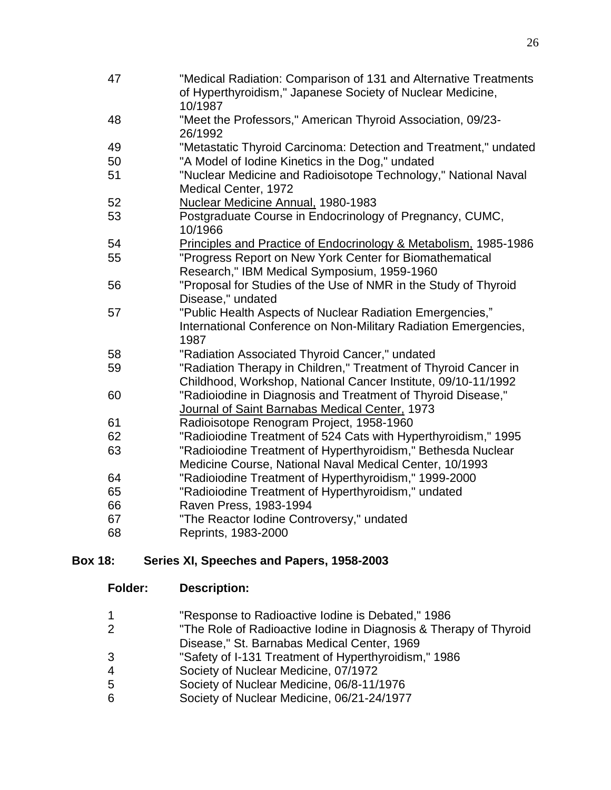| 47 | "Medical Radiation: Comparison of 131 and Alternative Treatments<br>of Hyperthyroidism," Japanese Society of Nuclear Medicine, |
|----|--------------------------------------------------------------------------------------------------------------------------------|
|    | 10/1987                                                                                                                        |
| 48 | "Meet the Professors," American Thyroid Association, 09/23-<br>26/1992                                                         |
| 49 | "Metastatic Thyroid Carcinoma: Detection and Treatment," undated                                                               |
| 50 | "A Model of Iodine Kinetics in the Dog," undated                                                                               |
| 51 | "Nuclear Medicine and Radioisotope Technology," National Naval                                                                 |
|    | Medical Center, 1972                                                                                                           |
| 52 | Nuclear Medicine Annual, 1980-1983                                                                                             |
| 53 | Postgraduate Course in Endocrinology of Pregnancy, CUMC,                                                                       |
|    | 10/1966                                                                                                                        |
| 54 | Principles and Practice of Endocrinology & Metabolism. 1985-1986                                                               |
| 55 | "Progress Report on New York Center for Biomathematical                                                                        |
|    | Research," IBM Medical Symposium, 1959-1960                                                                                    |
| 56 | "Proposal for Studies of the Use of NMR in the Study of Thyroid                                                                |
|    | Disease," undated                                                                                                              |
| 57 | "Public Health Aspects of Nuclear Radiation Emergencies,"                                                                      |
|    | International Conference on Non-Military Radiation Emergencies,                                                                |
|    | 1987                                                                                                                           |
| 58 | "Radiation Associated Thyroid Cancer," undated                                                                                 |
| 59 | "Radiation Therapy in Children," Treatment of Thyroid Cancer in                                                                |
|    | Childhood, Workshop, National Cancer Institute, 09/10-11/1992                                                                  |
| 60 | "Radioiodine in Diagnosis and Treatment of Thyroid Disease,"                                                                   |
|    | Journal of Saint Barnabas Medical Center, 1973                                                                                 |
| 61 | Radioisotope Renogram Project, 1958-1960                                                                                       |
| 62 | "Radioiodine Treatment of 524 Cats with Hyperthyroidism," 1995                                                                 |
| 63 | "Radioiodine Treatment of Hyperthyroidism," Bethesda Nuclear                                                                   |
|    | Medicine Course, National Naval Medical Center, 10/1993                                                                        |
| 64 | "Radioiodine Treatment of Hyperthyroidism," 1999-2000                                                                          |
| 65 | "Radioiodine Treatment of Hyperthyroidism," undated                                                                            |
| 66 | Raven Press, 1983-1994                                                                                                         |
| 67 | "The Reactor Iodine Controversy," undated                                                                                      |
| 68 | Reprints, 1983-2000                                                                                                            |
|    |                                                                                                                                |

### **Box 18: Series XI, Speeches and Papers, 1958-2003**

| "Response to Radioactive Iodine is Debated," 1986 |
|---------------------------------------------------|
|---------------------------------------------------|

- "The Role of Radioactive Iodine in Diagnosis & Therapy of Thyroid Disease," St. Barnabas Medical Center, 1969
- "Safety of I-131 Treatment of Hyperthyroidism," 1986
- 4 Society of Nuclear Medicine, 07/1972<br>5 Society of Nuclear Medicine, 06/8-11/
- 5 Society of Nuclear Medicine, 06/8-11/1976<br>6 Society of Nuclear Medicine, 06/21-24/1977
- Society of Nuclear Medicine, 06/21-24/1977